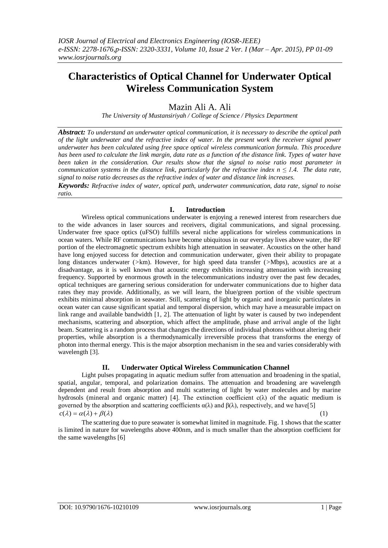# **Characteristics of Optical Channel for Underwater Optical Wireless Communication System**

Mazin Ali A. Ali

*The University of Mustansiriyah / College of Science / Physics Department* 

*Abstract: To understand an underwater optical communication, it is necessary to describe the optical path of the light underwater and the refractive index of water. In the present work the receiver signal power underwater has been calculated using free space optical wireless communication formula. This procedure has been used to calculate the link margin, data rate as a function of the distance link. Types of water have been taken in the consideration. Our results show that the signal to noise ratio most parameter in communication systems in the distance link, particularly for the refractive index n*  $\leq$  1.4. The data rate, *signal to noise ratio decreases as the refractive index of water and distance link increases.*

*Keywords: Refractive index of water, optical path, underwater communication, data rate, signal to noise ratio.* 

# **I. Introduction**

Wireless optical communications underwater is enjoying a renewed interest from researchers due to the wide advances in laser sources and receivers, digital communications, and signal processing. Underwater free space optics (uFSO) fulfills several niche applications for wireless communications in ocean waters. While RF communications have become ubiquitous in our everyday lives above water, the RF portion of the electromagnetic spectrum exhibits high attenuation in seawater. Acoustics on the other hand have long enjoyed success for detection and communication underwater, given their ability to propagate long distances underwater (*>*km). However, for high speed data transfer (*>*Mbps), acoustics are at a disadvantage, as it is well known that acoustic energy exhibits increasing attenuation with increasing frequency. Supported by enormous growth in the telecommunications industry over the past few decades, optical techniques are garnering serious consideration for underwater communications due to higher data rates they may provide. Additionally, as we will learn, the blue/green portion of the visible spectrum exhibits minimal absorption in seawater. Still, scattering of light by organic and inorganic particulates in ocean water can cause significant spatial and temporal dispersion, which may have a measurable impact on link range and available bandwidth [1, 2]. The attenuation of light by water is caused by two independent mechanisms, scattering and absorption, which affect the amplitude, phase and arrival angle of the light beam. Scattering is a random process that changes the directions of individual photons without altering their properties, while absorption is a thermodynamically irreversible process that transforms the energy of photon into thermal energy. This is the major absorption mechanism in the sea and varies considerably with wavelength [3].

## **II. Underwater Optical Wireless Communication Channel**

Light pulses propagating in aquatic medium suffer from attenuation and broadening in the spatial, spatial, angular, temporal, and polarization domains. The attenuation and broadening are wavelength dependent and result from absorption and multi scattering of light by water molecules and by marine hydrosols (mineral and organic matter) [4]. The extinction coefficient  $c(λ)$  of the aquatic medium is governed by the absorption and scattering coefficients  $\alpha(\lambda)$  and  $\beta(\lambda)$ , respectively, and we have[5]  $c(\lambda) = \alpha(\lambda) + \beta(\lambda)$  (1)

The scattering due to pure seawater is somewhat limited in magnitude. Fig. 1 shows that the scatter is limited in nature for wavelengths above 400nm, and is much smaller than the absorption coefficient for the same wavelengths [6]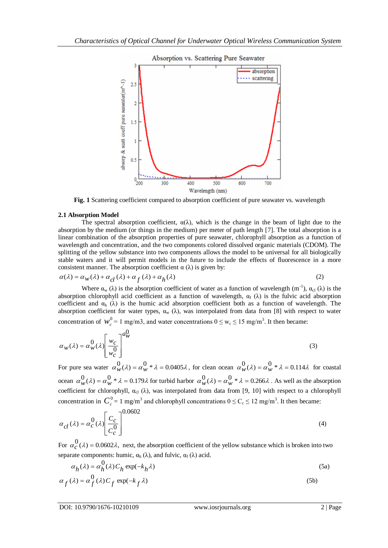

**Fig. 1** Scattering coefficient compared to absorption coefficient of pure seawater vs. wavelength

## **2.1 Absorption Model**

The spectral absorption coefficient,  $\alpha(\lambda)$ , which is the change in the beam of light due to the absorption by the medium (or things in the medium) per meter of path length [7]. The total absorption is a linear combination of the absorption properties of pure seawater, chlorophyll absorption as a function of wavelength and concentration, and the two components colored dissolved organic materials (CDOM). The splitting of the yellow substance into two components allows the model to be universal for all biologically stable waters and it will permit models in the future to include the effects of fluorescence in a more consistent manner. The absorption coefficient  $\alpha$  ( $\lambda$ ) is given by:

$$
\alpha(\lambda) = \alpha_w(\lambda) + \alpha_{cl}(\lambda) + \alpha_f(\lambda) + \alpha_h(\lambda)
$$
\n(2)

Where  $\alpha_w(\lambda)$  is the absorption coefficient of water as a function of wavelength  $(m^{-1})$ ,  $\alpha_{cl}(\lambda)$  is the absorption chlorophyll acid coefficient as a function of wavelength,  $\alpha_f(\lambda)$  is the fulvic acid absorption coefficient and  $\alpha_h$  ( $\lambda$ ) is the humic acid absorption coefficient both as a function of wavelength. The absorption coefficient for water types,  $\alpha_w$  ( $\lambda$ ), was interpolated from data from [8] with respect to water concentration of  $w_c^0 = 1$  mg/m3, and water concentrations  $0 \le w_c \le 15$  mg/m<sup>3</sup>. It then became:

$$
\alpha_{w}(\lambda) = \alpha_{w}^{0}(\lambda) \left[ \frac{w_{c}}{w_{c}^{0}} \right]^{a_{w}^{0}}
$$
\n(3)

For pure sea water  $\alpha_w^0(\lambda) = \alpha_w^0 * \lambda = 0.0405\lambda$ , for clean ocean  $\alpha_w^0(\lambda) = \alpha_w^0 * \lambda = 0.114\lambda$  for coastal ocean  $\alpha_w^0(\lambda) = \alpha_w^0 * \lambda = 0.179\lambda$  for turbid harbor  $\alpha_w^0(\lambda) = \alpha_w^0 * \lambda = 0.266\lambda$ . As well as the absorption coefficient for chlorophyll,  $\alpha_{cl}$  ( $\lambda$ ), was interpolated from data from [9, 10] with respect to a chlorophyll concentration in  $C_c^0 = 1$  mg/m<sup>3</sup> and chlorophyll concentrations  $0 \le C_c \le 12$  mg/m<sup>3</sup>. It then became:

$$
\alpha_{cl}(\lambda) = \alpha_C^0(\lambda) \left[ \frac{C_C}{C_C^0} \right]^{0.0602} \tag{4}
$$

For  $\alpha_C^0(\lambda) = 0.0602\lambda$ , next, the absorption coefficient of the yellow substance which is broken into two separate components: humic,  $\alpha_h(\lambda)$ , and fulvic,  $\alpha_f(\lambda)$  acid.

$$
\alpha_h(\lambda) = \alpha_h^0(\lambda) C_h \exp(-k_h \lambda)
$$
\n
$$
\alpha_f(\lambda) = \alpha_f^0(\lambda) C_f \exp(-k_f \lambda)
$$
\n(5a)

DOI: 
$$
10.9790/1676-10210109
$$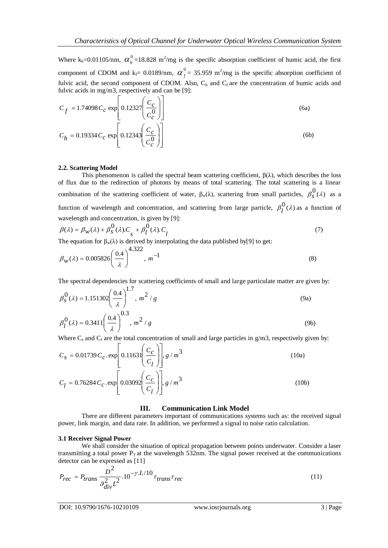Where  $k_h = 0.01105/nm$ ,  $\alpha_h^0 = 18.828 \text{ m}^2/mg$  is the specific absorption coefficient of humic acid, the first component of CDOM and  $k_f$  = 0.0189/nm,  $\alpha_f^0$  = 35.959 m<sup>2</sup>/mg is the specific absorption coefficient of fulvic acid, the second component of CDOM. Also,  $C_h$  and  $C_f$  are the concentration of humic acids and fulvic acids in mg/m3, respectively and can be [9]:

$$
C_f = 1.74098 C_c \exp\left[0.12327 \left(\frac{C_c}{C_c^0}\right)\right]
$$
\n
$$
C_h = 0.19334 C_c \exp\left[0.12343 \left(\frac{C_c}{C_c^0}\right)\right]
$$
\n(6b)

### **2.2. Scattering Model**

This phenomenon is called the spectral beam scattering coefficient,  $\beta(\lambda)$ , which describes the loss of flux due to the redirection of photons by means of total scattering. The total scattering is a linear combination of the scattering coefficient of water,  $\beta_w(\lambda)$ , scattering from small particles,  $\beta_s^0(\lambda)$  as a function of wavelength and concentration, and scattering from large particle,  $\beta_l^0(\lambda)$  as a function of wavelength and concentration, is given by [9]:

$$
\beta(\lambda) = \beta_W(\lambda) + \beta_S^0(\lambda)C_s + \beta_l^0(\lambda)C_l
$$
\n(7)

The equation for  $\beta_w(\lambda)$  is derived by interpolating the data published by[9] to get:

$$
\beta_W(\lambda) = 0.005826 \left(\frac{0.4}{\lambda}\right)^{4.322}, \, m^{-1} \tag{8}
$$

The spectral dependencies for scattering coefficients of small and large particulate matter are given by:

$$
\beta_S^0(\lambda) = 1.151302 \left(\frac{0.4}{\lambda}\right)^{1.7}, \, m^2 / g \tag{9a}
$$
\n
$$
\beta_l^0(\lambda) = 0.3411 \left(\frac{0.4}{\lambda}\right)^{0.3}, \, m^2 / g \tag{9b}
$$

Where  $C_s$  and  $C_l$  are the total concentration of small and large particles in  $g/m3$ , respectively given by:

$$
C_{s} = 0.01739 C_{c} . \exp\left[ 0.11631 \left( \frac{C_{c}}{C_{l}} \right) \right], g/m^{3}
$$
\n(10a)\n
$$
C_{l} = 0.76284 C_{c} . \exp\left[ 0.03092 \left( \frac{C_{c}}{C_{l}} \right) \right], g/m^{3}
$$
\n(10b)

### **III. Communication Link Model**

There are different parameters important of communications systems such as: the received signal power, link margin, and data rate. In addition, we performed a signal to noise ratio calculation.

### **3.1 Receiver Signal Power**

We shall consider the situation of optical propagation between points underwater. Consider a laser transmitting a total power  $P<sub>T</sub>$  at the wavelength 532nm. The signal power received at the communications detector can be expressed as [11]

$$
P_{rec} = P_{trans} \frac{D^2}{g_{div}^2 L^2} . 10^{-\gamma L/10} \tau_{trans} \tau_{rec}
$$
 (11)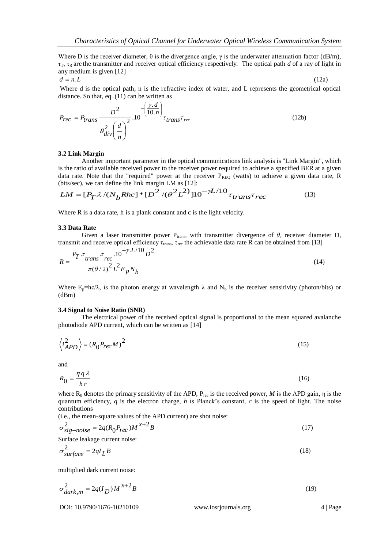Where D is the receiver diameter,  $\theta$  is the divergence angle,  $\gamma$  is the underwater attenuation factor (dB/m),  $\tau_{\text{t}}$ ,  $\tau_{\text{R}}$  are the transmitter and receiver optical efficiency respectively. The optical path *d* of a ray of light in any medium is given [12]

$$
d = n.L \tag{12a}
$$

Where d is the optical path, n is the refractive index of water, and L represents the geometrical optical distance. So that, eq. (11) can be written as

$$
P_{rec} = P_{trans} \frac{D^2}{g_{div}^2 \left(\frac{d}{n}\right)^2} .10^{-\left(\frac{\gamma \cdot d}{10.n}\right)} \tau_{trans} \tau_{rec}
$$
 (12b)

### **3.2 Link Margin**

Another important parameter in the optical communications link analysis is "Link Margin", which is the ratio of available received power to the receiver power required to achieve a specified BER at a given data rate. Note that the "required" power at the receiver  $P_{REQ}$  (watts) to achieve a given data rate, R (bits/sec), we can define the link margin LM as [12]:

$$
LM = [P_T \lambda / (N_b Rhc] * [D^2 / (\theta^2 L^2)]10^{-\gamma L/10} \tau_{trans} \tau_{rec}
$$
 (13)

Where R is a data rate, h is a plank constant and c is the light velocity.

#### **3.3 Data Rate**

Given a laser transmitter power P<sub>trans</sub>, with transmitter divergence of  $\theta$ , receiver diameter D, transmit and receive optical efficiency  $\tau_{trans}$ ,  $\tau_{rec}$  the achievable data rate R can be obtained from [13]

$$
R = \frac{P_T \cdot \tau_{trans} \cdot \tau_{rec} \cdot 10^{-\gamma \cdot L/10} D^2}{\pi (\theta/2)^2 L^2 E_p N_b}
$$
(14)

Where  $E_p=hc/\lambda$ , is the photon energy at wavelength  $\lambda$  and  $N_b$  is the receiver sensitivity (photon/bits) or (dBm)

#### **3.4 Signal to Noise Ratio (SNR)**

The electrical power of the received optical signal is proportional to the mean squared avalanche photodiode APD current, which can be written as [14]

$$
\langle i_{APD}^2 \rangle = (R_0 P_{rec} M)^2 \tag{15}
$$

and

$$
R_0 = \frac{\eta q \lambda}{hc} \tag{16}
$$

where  $R_0$  denotes the primary sensitivity of the APD,  $P_{rec}$  is the received power, *M* is the APD gain,  $\eta$  is the quantum efficiency, *q* is the electron charge, *h* is Planck's constant, *c* is the speed of light. The noise contributions

(i.e., the mean-square values of the APD current) are shot noise:

$$
\sigma_{sig-noise}^2 = 2q(R_0 P_{rec})M^{x+2}B \tag{17}
$$

Surface leakage current noise:

$$
\sigma_{surface}^2 = 2qI_LB \tag{18}
$$

multiplied dark current noise:

$$
\sigma_{dark,m}^2 = 2q(I_D)M^{x+2}B\tag{19}
$$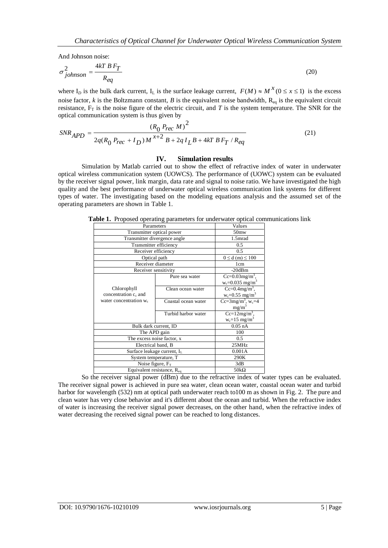And Johnson noise:

$$
\sigma_{johnson}^2 = \frac{4kT B F_T}{R_{eq}}
$$
\n(20)

where  $I_D$  is the bulk dark current,  $I_L$  is the surface leakage current,  $F(M) \approx M^X (0 \le x \le 1)$  is the excess noise factor,  $k$  is the Boltzmann constant,  $B$  is the equivalent noise bandwidth,  $R_{eq}$  is the equivalent circuit resistance,  $F_T$  is the noise figure of the electric circuit, and *T* is the system temperature. The SNR for the optical communication system is thus given by

$$
SNR_{APD} = \frac{(R_0 P_{rec} M)^2}{2q(R_0 P_{rec} + I_D)M^{x+2} B + 2qI_L B + 4kT B F_T / R_{eq}}
$$
(21)

#### **IV. Simulation results**

Simulation by Matlab carried out to show the effect of refractive index of water in underwater optical wireless communication system (UOWCS). The performance of (UOWC) system can be evaluated by the receiver signal power, link margin, data rate and signal to noise ratio. We have investigated the high quality and the best performance of underwater optical wireless communication link systems for different types of water. The investigating based on the modeling equations analysis and the assumed set of the operating parameters are shown in Table 1.

**Table 1.** Proposed operating parameters for underwater optical communications link

| Parameters                              |                     | Values                                                 |
|-----------------------------------------|---------------------|--------------------------------------------------------|
| Transmitter optical power               |                     | 50 <sub>mw</sub>                                       |
| Transmitter divergence angle            |                     | 1.5mrad                                                |
| Transmitter efficiency                  |                     | 0.5                                                    |
| Receiver efficiency                     |                     | 0.5                                                    |
| Optical path                            |                     | $0 \le d$ (m) $\le 100$                                |
| Receiver diameter                       |                     | 1 <sub>cm</sub>                                        |
| Receiver sensitivity                    |                     | $-20dBm$                                               |
|                                         | Pure sea water      | $Cc = 0.03mg/m^3$ ,<br>$w_c = 0.035$ mg/m <sup>3</sup> |
| Chlorophyll<br>concentration $c_c$ and  | Clean ocean water   | $Cc=0.4mg/m^3$ ,<br>$w_c = 0.55$ mg/m <sup>3</sup>     |
| water concentration w <sub>c</sub>      | Coastal ocean water | $Cc = 3mg/m^3$ , w <sub>c</sub> =4<br>$mg/m^3$         |
|                                         | Turbid harbor water | $Cc=12mg/m^3$ ,<br>$w_c = 15$ mg/m <sup>3</sup>        |
| Bulk dark current, ID                   |                     | $0.05$ nA                                              |
| The APD gain                            |                     | 100                                                    |
| The excess noise factor, x              |                     | 0.5                                                    |
| Electrical band, B                      |                     | 25MHz                                                  |
| Surface leakage current, I <sub>L</sub> |                     | 0.001A                                                 |
| System temperature, T                   |                     | 290K                                                   |
| Noise figure, $F_T$                     |                     | 3dB                                                    |
| Equivalent resistance, $R_{eq}$         |                     | 50 $k\Omega$                                           |

So the receiver signal power (dBm) due to the refractive index of water types can be evaluated. The receiver signal power is achieved in pure sea water, clean ocean water, coastal ocean water and turbid harbor for wavelength (532) nm at optical path underwater reach to100 m as shown in Fig. 2. The pure and clean water has very close behavior and it's different about the ocean and turbid. When the refractive index of water is increasing the receiver signal power decreases, on the other hand, when the refractive index of water decreasing the received signal power can be reached to long distances.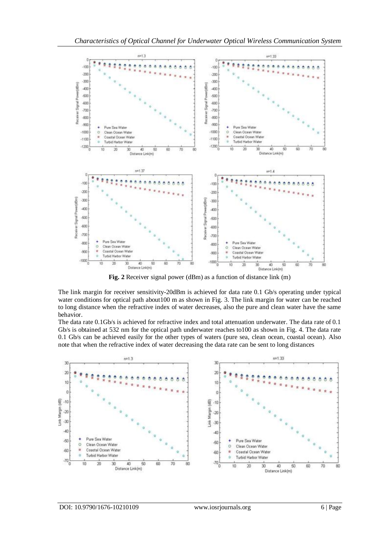

**Fig. 2** Receiver signal power (dBm) as a function of distance link (m)

The link margin for receiver sensitivity-20dBm is achieved for data rate 0.1 Gb/s operating under typical water conditions for optical path about100 m as shown in Fig. 3. The link margin for water can be reached to long distance when the refractive index of water decreases, also the pure and clean water have the same behavior.

The data rate 0.1Gb/s is achieved for refractive index and total attenuation underwater. The data rate of 0.1 Gb/s is obtained at 532 nm for the optical path underwater reaches to100 as shown in Fig. 4. The data rate 0.1 Gb/s can be achieved easily for the other types of waters (pure sea, clean ocean, coastal ocean). Also note that when the refractive index of water decreasing the data rate can be sent to long distances

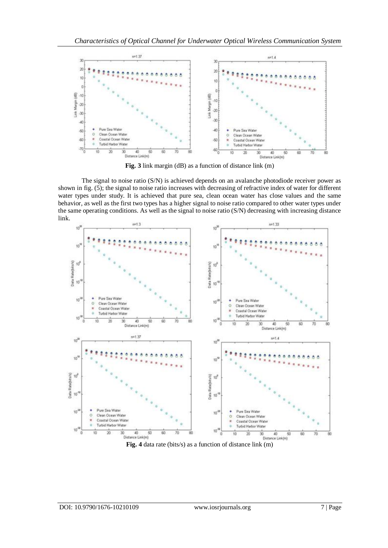

**Fig. 3** link margin (dB) as a function of distance link (m)

The signal to noise ratio (S/N) is achieved depends on an avalanche photodiode receiver power as shown in fig. (5); the signal to noise ratio increases with decreasing of refractive index of water for different water types under study. It is achieved that pure sea, clean ocean water has close values and the same behavior, as well as the first two types has a higher signal to noise ratio compared to other water types under the same operating conditions. As well as the signal to noise ratio (S/N) decreasing with increasing distance link.



**Fig. 4** data rate (bits/s) as a function of distance link (m)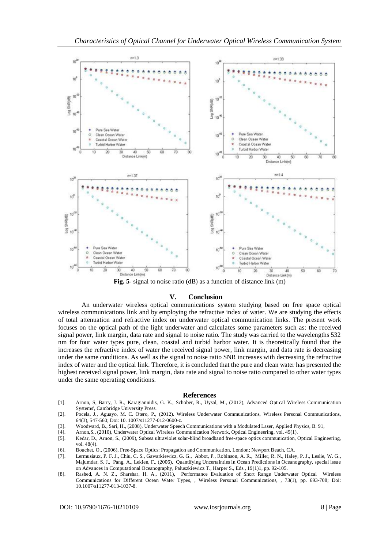

**Fig. 5-** signal to noise ratio (dB) as a function of distance link (m)

## **V. Conclusion**

An underwater wireless optical communications system studying based on free space optical wireless communications link and by employing the refractive index of water. We are studying the effects of total attenuation and refractive index on underwater optical communication links. The present work focuses on the optical path of the light underwater and calculates some parameters such as: the received signal power, link margin, data rate and signal to noise ratio. The study was carried to the wavelengths 532 nm for four water types pure, clean, coastal and turbid harbor water. It is theoretically found that the increases the refractive index of water the received signal power, link margin, and data rate is decreasing under the same conditions. As well as the signal to noise ratio SNR increases with decreasing the refractive index of water and the optical link. Therefore, it is concluded that the pure and clean water has presented the highest received signal power, link margin, data rate and signal to noise ratio compared to other water types under the same operating conditions.

#### **References**

- [1]. Arnon, S, Barry, J. R., Karagiannidis, G. K., Schober, R., Uysal, M., (2012), Advanced Optical Wireless Communication Systems', Cambridge University Press.
- [2]. Pocela, J., Aguayo, M. C. Otero, P., (2012). Wireless Underwater Communications, Wireless Personal Communications, 64(3), 547-560; Doi: 10. 1007/s11277-012-0600-z.
- [3]. Woodward, B., Sari, H., (2008), Underwater Speech Communications with a Modulated Laser, Applied Physics, B. 91,
- [4]. Arnon,S., (2010), Underwater Optical Wireless Communication Network, Optical Engineering, vol. 49(1).
- [5]. Kedar, D., Arnon, S., (2009), Subsea ultraviolet solar-blind broadband free-space optics communication, Optical Engineering, vol. 48(4).
- [6]. Bouchet, O., (2006), Free-Space Optics: Propagation and Communication, London; Newport Beach, CA.
- [7]. Lermusiaux, P. F. J., Chiu, C. S., Gawarkiewicz, G. G., Abbot, P., Robinson, A. R., Miller, R. N., Haley, P. J., Leslie, W. G., Majumdar, S. J., Pang, A., Lekien, F., (2006), Quantifying Uncertainties in Ocean Predictions in Oceanography, special issue on Advances in Computational Oceanography, Paluszkiewicz T., Harper S., Eds., 19(1)1, pp. 92-105.
- [8]. Rashed, A. N. Z., Sharshar, H. A., (2011), Performance Evaluation of Short Range Underwater Optical Wireless Communications for Different Ocean Water Types, , Wireless Personal Communications, , 73(1), pp. 693-708; Doi: 10.1007/s11277-013-1037-8.